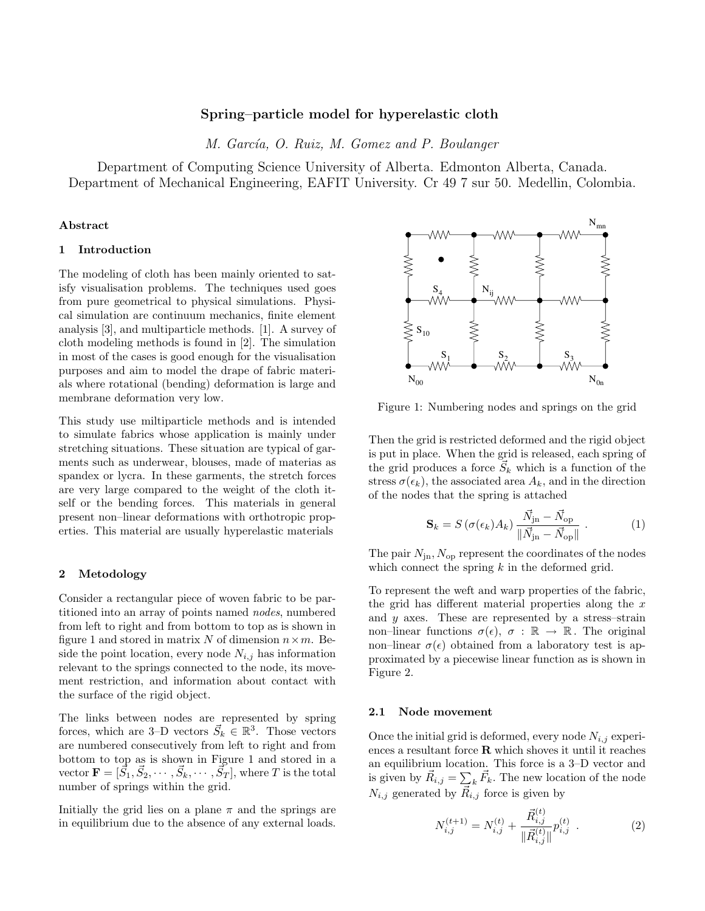# Spring–particle model for hyperelastic cloth

M. García, O. Ruiz, M. Gomez and P. Boulanger

Department of Computing Science University of Alberta. Edmonton Alberta, Canada. Department of Mechanical Engineering, EAFIT University. Cr 49 7 sur 50. Medellin, Colombia.

# Abstract

# 1 Introduction

The modeling of cloth has been mainly oriented to satisfy visualisation problems. The techniques used goes from pure geometrical to physical simulations. Physical simulation are continuum mechanics, finite element analysis [3], and multiparticle methods. [1]. A survey of cloth modeling methods is found in [2]. The simulation in most of the cases is good enough for the visualisation purposes and aim to model the drape of fabric materials where rotational (bending) deformation is large and membrane deformation very low.

This study use miltiparticle methods and is intended to simulate fabrics whose application is mainly under stretching situations. These situation are typical of garments such as underwear, blouses, made of materias as spandex or lycra. In these garments, the stretch forces are very large compared to the weight of the cloth itself or the bending forces. This materials in general present non–linear deformations with orthotropic properties. This material are usually hyperelastic materials

## 2 Metodology

Consider a rectangular piece of woven fabric to be partitioned into an array of points named nodes, numbered from left to right and from bottom to top as is shown in figure 1 and stored in matrix N of dimension  $n \times m$ . Beside the point location, every node  $N_{i,j}$  has information relevant to the springs connected to the node, its movement restriction, and information about contact with the surface of the rigid object.

The links between nodes are represented by spring forces, which are 3–D vectors  $\vec{S}_k \in \mathbb{R}^3$ . Those vectors are numbered consecutively from left to right and from bottom to top as is shown in Figure 1 and stored in a vector  $\mathbf{F}=[\vec{S_1}, \vec{S_2}, \cdots, \vec{S_k}, \cdots, \vec{S_T}],$  where  $T$  is the total number of springs within the grid.

Initially the grid lies on a plane  $\pi$  and the springs are in equilibrium due to the absence of any external loads.



Figure 1: Numbering nodes and springs on the grid

Then the grid is restricted deformed and the rigid object is put in place. When the grid is released, each spring of the grid produces a force  $\vec{S}_k$  which is a function of the stress  $\sigma(\epsilon_k)$ , the associated area  $A_k$ , and in the direction of the nodes that the spring is attached

$$
\mathbf{S}_{k} = S\left(\sigma(\epsilon_{k})A_{k}\right) \frac{\vec{N}_{\text{jn}} - \vec{N}_{\text{op}}}{\|\vec{N}_{\text{jn}} - \vec{N}_{\text{op}}\|} \tag{1}
$$

The pair  $N_{\rm in}$ ,  $N_{\rm op}$  represent the coordinates of the nodes which connect the spring  $k$  in the deformed grid.

To represent the weft and warp properties of the fabric, the grid has different material properties along the  $x$ and  $y$  axes. These are represented by a stress-strain non–linear functions  $\sigma(\epsilon)$ ,  $\sigma : \mathbb{R} \to \mathbb{R}$ . The original non–linear  $\sigma(\epsilon)$  obtained from a laboratory test is approximated by a piecewise linear function as is shown in Figure 2.

#### 2.1 Node movement

Once the initial grid is deformed, every node  $N_{i,j}$  experiences a resultant force  $\bf R$  which shoves it until it reaches an equilibrium location. This force is a 3–D vector and is given by  $\vec{R}_{i,j} = \sum_{k} \vec{F}_{k}$ . The new location of the node  $N_{i,j}$  generated by  $\vec{R}_{i,j}$  force is given by

$$
N_{i,j}^{(t+1)} = N_{i,j}^{(t)} + \frac{\vec{R}_{i,j}^{(t)}}{\|\vec{R}_{i,j}^{(t)}\|} p_{i,j}^{(t)} . \tag{2}
$$